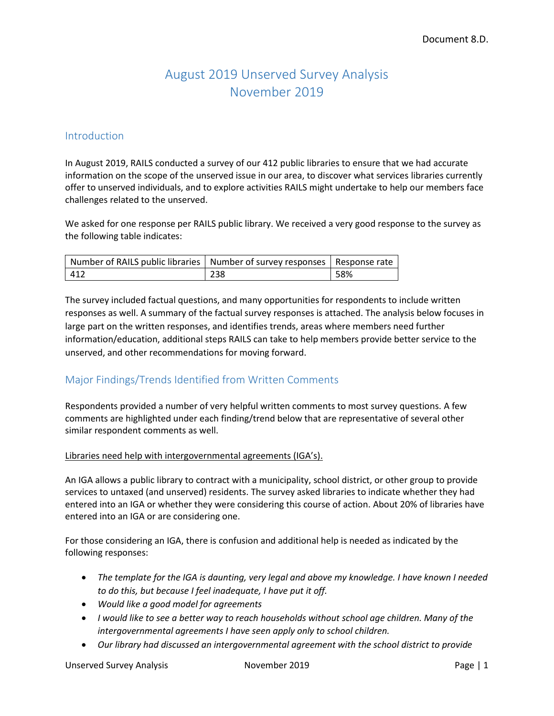# August 2019 Unserved Survey Analysis November 2019

### Introduction

In August 2019, RAILS conducted a survey of our 412 public libraries to ensure that we had accurate information on the scope of the unserved issue in our area, to discover what services libraries currently offer to unserved individuals, and to explore activities RAILS might undertake to help our members face challenges related to the unserved.

We asked for one response per RAILS public library. We received a very good response to the survey as the following table indicates:

| Number of RAILS public libraries   Number of survey responses   Response rate |     |     |
|-------------------------------------------------------------------------------|-----|-----|
| 412                                                                           | 238 | 58% |

The survey included factual questions, and many opportunities for respondents to include written responses as well. A summary of the factual survey responses is attached. The analysis below focuses in large part on the written responses, and identifies trends, areas where members need further information/education, additional steps RAILS can take to help members provide better service to the unserved, and other recommendations for moving forward.

# Major Findings/Trends Identified from Written Comments

Respondents provided a number of very helpful written comments to most survey questions. A few comments are highlighted under each finding/trend below that are representative of several other similar respondent comments as well.

#### Libraries need help with intergovernmental agreements (IGA's).

An IGA allows a public library to contract with a municipality, school district, or other group to provide services to untaxed (and unserved) residents. The survey asked libraries to indicate whether they had entered into an IGA or whether they were considering this course of action. About 20% of libraries have entered into an IGA or are considering one.

For those considering an IGA, there is confusion and additional help is needed as indicated by the following responses:

- *The template for the IGA is daunting, very legal and above my knowledge. I have known I needed to do this, but because I feel inadequate, I have put it off.*
- *Would like a good model for agreements*
- *I would like to see a better way to reach households without school age children. Many of the intergovernmental agreements I have seen apply only to school children.*
- *Our library had discussed an intergovernmental agreement with the school district to provide*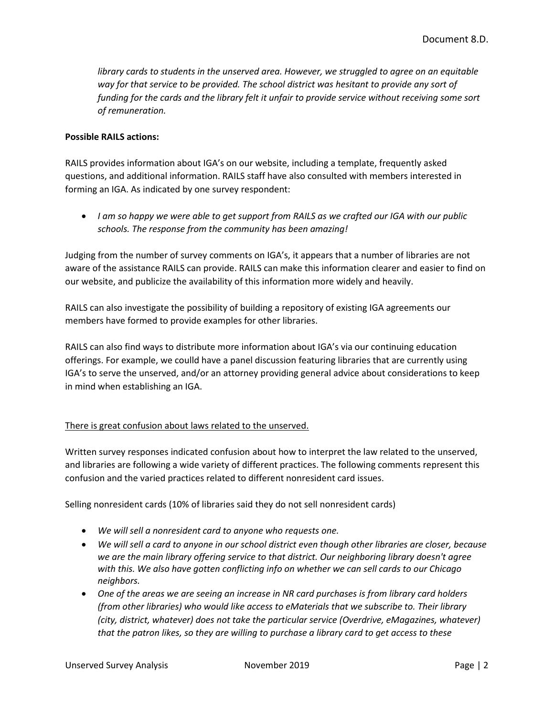*library cards to students in the unserved area. However, we struggled to agree on an equitable way for that service to be provided. The school district was hesitant to provide any sort of funding for the cards and the library felt it unfair to provide service without receiving some sort of remuneration.*

#### **Possible RAILS actions:**

RAILS provides information about IGA's on our website, including a template, frequently asked questions, and additional information. RAILS staff have also consulted with members interested in forming an IGA. As indicated by one survey respondent:

 *I am so happy we were able to get support from RAILS as we crafted our IGA with our public schools. The response from the community has been amazing!*

Judging from the number of survey comments on IGA's, it appears that a number of libraries are not aware of the assistance RAILS can provide. RAILS can make this information clearer and easier to find on our website, and publicize the availability of this information more widely and heavily.

RAILS can also investigate the possibility of building a repository of existing IGA agreements our members have formed to provide examples for other libraries.

RAILS can also find ways to distribute more information about IGA's via our continuing education offerings. For example, we coulld have a panel discussion featuring libraries that are currently using IGA's to serve the unserved, and/or an attorney providing general advice about considerations to keep in mind when establishing an IGA.

### There is great confusion about laws related to the unserved.

Written survey responses indicated confusion about how to interpret the law related to the unserved, and libraries are following a wide variety of different practices. The following comments represent this confusion and the varied practices related to different nonresident card issues.

Selling nonresident cards (10% of libraries said they do not sell nonresident cards)

- *We will sell a nonresident card to anyone who requests one.*
- *We will sell a card to anyone in our school district even though other libraries are closer, because we are the main library offering service to that district. Our neighboring library doesn't agree with this. We also have gotten conflicting info on whether we can sell cards to our Chicago neighbors.*
- *One of the areas we are seeing an increase in NR card purchases is from library card holders (from other libraries) who would like access to eMaterials that we subscribe to. Their library (city, district, whatever) does not take the particular service (Overdrive, eMagazines, whatever) that the patron likes, so they are willing to purchase a library card to get access to these*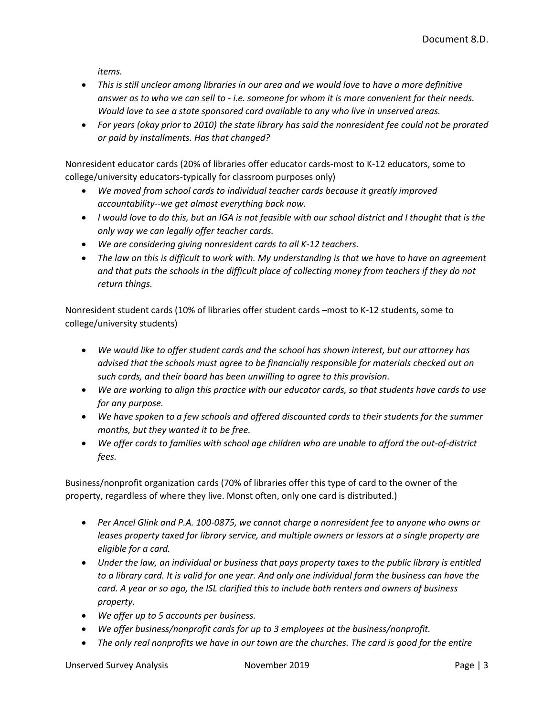*items.*

- *This is still unclear among libraries in our area and we would love to have a more definitive answer as to who we can sell to - i.e. someone for whom it is more convenient for their needs. Would love to see a state sponsored card available to any who live in unserved areas.*
- *For years (okay prior to 2010) the state library has said the nonresident fee could not be prorated or paid by installments. Has that changed?*

Nonresident educator cards (20% of libraries offer educator cards-most to K-12 educators, some to college/university educators-typically for classroom purposes only)

- *We moved from school cards to individual teacher cards because it greatly improved accountability--we get almost everything back now.*
- *I would love to do this, but an IGA is not feasible with our school district and I thought that is the only way we can legally offer teacher cards.*
- *We are considering giving nonresident cards to all K-12 teachers.*
- *The law on this is difficult to work with. My understanding is that we have to have an agreement and that puts the schools in the difficult place of collecting money from teachers if they do not return things.*

Nonresident student cards (10% of libraries offer student cards –most to K-12 students, some to college/university students)

- *We would like to offer student cards and the school has shown interest, but our attorney has advised that the schools must agree to be financially responsible for materials checked out on such cards, and their board has been unwilling to agree to this provision.*
- *We are working to align this practice with our educator cards, so that students have cards to use for any purpose.*
- *We have spoken to a few schools and offered discounted cards to their students for the summer months, but they wanted it to be free.*
- *We offer cards to families with school age children who are unable to afford the out-of-district fees.*

Business/nonprofit organization cards (70% of libraries offer this type of card to the owner of the property, regardless of where they live. Monst often, only one card is distributed.)

- *Per Ancel Glink and P.A. 100-0875, we cannot charge a nonresident fee to anyone who owns or leases property taxed for library service, and multiple owners or lessors at a single property are eligible for a card.*
- *Under the law, an individual or business that pays property taxes to the public library is entitled to a library card. It is valid for one year. And only one individual form the business can have the card. A year or so ago, the ISL clarified this to include both renters and owners of business property.*
- *We offer up to 5 accounts per business.*
- *We offer business/nonprofit cards for up to 3 employees at the business/nonprofit.*
- *The only real nonprofits we have in our town are the churches. The card is good for the entire*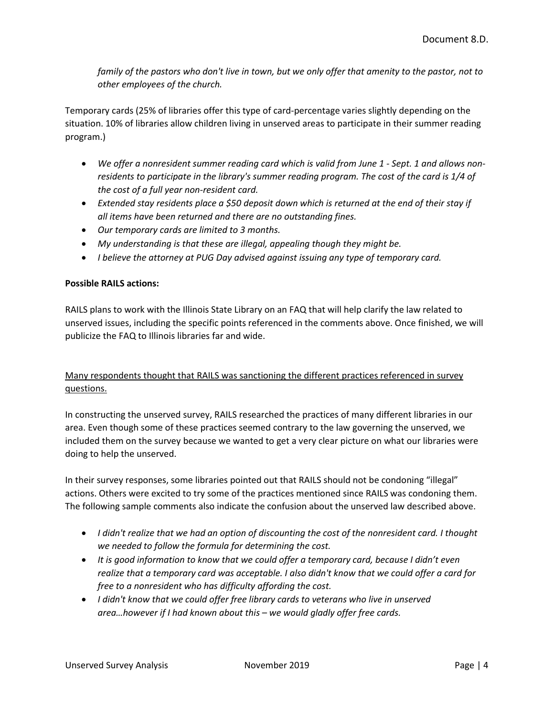*family of the pastors who don't live in town, but we only offer that amenity to the pastor, not to other employees of the church.*

Temporary cards (25% of libraries offer this type of card-percentage varies slightly depending on the situation. 10% of libraries allow children living in unserved areas to participate in their summer reading program.)

- *We offer a nonresident summer reading card which is valid from June 1 - Sept. 1 and allows nonresidents to participate in the library's summer reading program. The cost of the card is 1/4 of the cost of a full year non-resident card.*
- *Extended stay residents place a \$50 deposit down which is returned at the end of their stay if all items have been returned and there are no outstanding fines.*
- *Our temporary cards are limited to 3 months.*
- *My understanding is that these are illegal, appealing though they might be.*
- *I believe the attorney at PUG Day advised against issuing any type of temporary card.*

#### **Possible RAILS actions:**

RAILS plans to work with the Illinois State Library on an FAQ that will help clarify the law related to unserved issues, including the specific points referenced in the comments above. Once finished, we will publicize the FAQ to Illinois libraries far and wide.

### Many respondents thought that RAILS was sanctioning the different practices referenced in survey questions.

In constructing the unserved survey, RAILS researched the practices of many different libraries in our area. Even though some of these practices seemed contrary to the law governing the unserved, we included them on the survey because we wanted to get a very clear picture on what our libraries were doing to help the unserved.

In their survey responses, some libraries pointed out that RAILS should not be condoning "illegal" actions. Others were excited to try some of the practices mentioned since RAILS was condoning them. The following sample comments also indicate the confusion about the unserved law described above.

- *I didn't realize that we had an option of discounting the cost of the nonresident card. I thought we needed to follow the formula for determining the cost.*
- *It is good information to know that we could offer a temporary card, because I didn't even realize that a temporary card was acceptable. I also didn't know that we could offer a card for free to a nonresident who has difficulty affording the cost.*
- *I didn't know that we could offer free library cards to veterans who live in unserved area…however if I had known about this – we would gladly offer free cards.*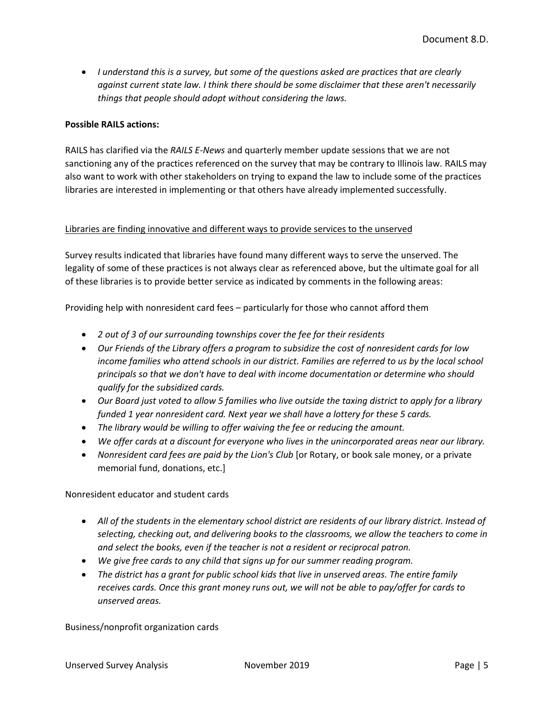*I understand this is a survey, but some of the questions asked are practices that are clearly against current state law. I think there should be some disclaimer that these aren't necessarily things that people should adopt without considering the laws.* 

#### **Possible RAILS actions:**

RAILS has clarified via the *RAILS E-News* and quarterly member update sessions that we are not sanctioning any of the practices referenced on the survey that may be contrary to Illinois law. RAILS may also want to work with other stakeholders on trying to expand the law to include some of the practices libraries are interested in implementing or that others have already implemented successfully.

#### Libraries are finding innovative and different ways to provide services to the unserved

Survey results indicated that libraries have found many different ways to serve the unserved. The legality of some of these practices is not always clear as referenced above, but the ultimate goal for all of these libraries is to provide better service as indicated by comments in the following areas:

Providing help with nonresident card fees – particularly for those who cannot afford them

- *2 out of 3 of our surrounding townships cover the fee for their residents*
- *Our Friends of the Library offers a program to subsidize the cost of nonresident cards for low income families who attend schools in our district. Families are referred to us by the local school principals so that we don't have to deal with income documentation or determine who should qualify for the subsidized cards.*
- *Our Board just voted to allow 5 families who live outside the taxing district to apply for a library funded 1 year nonresident card. Next year we shall have a lottery for these 5 cards.*
- *The library would be willing to offer waiving the fee or reducing the amount.*
- *We offer cards at a discount for everyone who lives in the unincorporated areas near our library.*
- *Nonresident card fees are paid by the Lion's Club* [or Rotary, or book sale money, or a private memorial fund, donations, etc.]

Nonresident educator and student cards

- *All of the students in the elementary school district are residents of our library district. Instead of selecting, checking out, and delivering books to the classrooms, we allow the teachers to come in and select the books, even if the teacher is not a resident or reciprocal patron.*
- *We give free cards to any child that signs up for our summer reading program.*
- *The district has a grant for public school kids that live in unserved areas. The entire family receives cards. Once this grant money runs out, we will not be able to pay/offer for cards to unserved areas.*

Business/nonprofit organization cards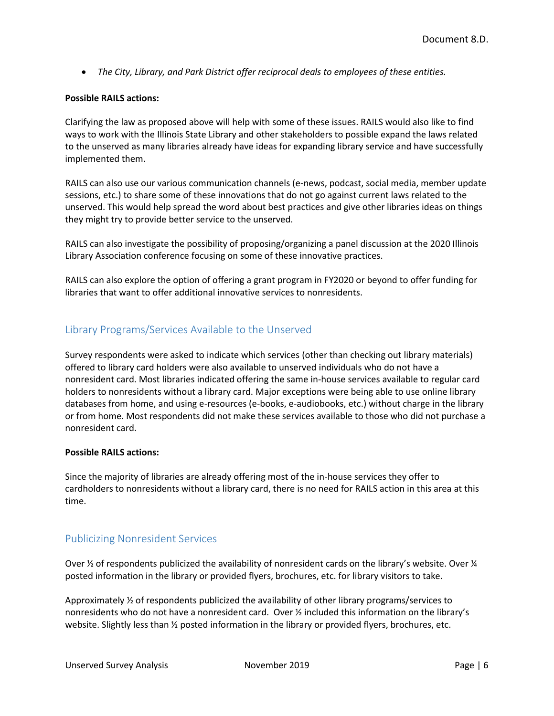*The City, Library, and Park District offer reciprocal deals to employees of these entities.*

#### **Possible RAILS actions:**

Clarifying the law as proposed above will help with some of these issues. RAILS would also like to find ways to work with the Illinois State Library and other stakeholders to possible expand the laws related to the unserved as many libraries already have ideas for expanding library service and have successfully implemented them.

RAILS can also use our various communication channels (e-news, podcast, social media, member update sessions, etc.) to share some of these innovations that do not go against current laws related to the unserved. This would help spread the word about best practices and give other libraries ideas on things they might try to provide better service to the unserved.

RAILS can also investigate the possibility of proposing/organizing a panel discussion at the 2020 Illinois Library Association conference focusing on some of these innovative practices.

RAILS can also explore the option of offering a grant program in FY2020 or beyond to offer funding for libraries that want to offer additional innovative services to nonresidents.

# Library Programs/Services Available to the Unserved

Survey respondents were asked to indicate which services (other than checking out library materials) offered to library card holders were also available to unserved individuals who do not have a nonresident card. Most libraries indicated offering the same in-house services available to regular card holders to nonresidents without a library card. Major exceptions were being able to use online library databases from home, and using e-resources (e-books, e-audiobooks, etc.) without charge in the library or from home. Most respondents did not make these services available to those who did not purchase a nonresident card.

#### **Possible RAILS actions:**

Since the majority of libraries are already offering most of the in-house services they offer to cardholders to nonresidents without a library card, there is no need for RAILS action in this area at this time.

# Publicizing Nonresident Services

Over  $\frac{1}{2}$  of respondents publicized the availability of nonresident cards on the library's website. Over  $\frac{1}{4}$ posted information in the library or provided flyers, brochures, etc. for library visitors to take.

Approximately ½ of respondents publicized the availability of other library programs/services to nonresidents who do not have a nonresident card. Over ½ included this information on the library's website. Slightly less than  $\frac{y}{2}$  posted information in the library or provided flyers, brochures, etc.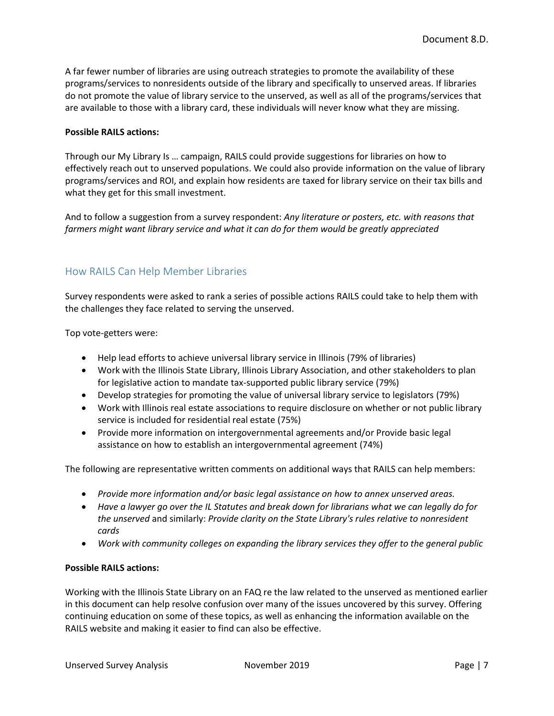A far fewer number of libraries are using outreach strategies to promote the availability of these programs/services to nonresidents outside of the library and specifically to unserved areas. If libraries do not promote the value of library service to the unserved, as well as all of the programs/services that are available to those with a library card, these individuals will never know what they are missing.

#### **Possible RAILS actions:**

Through our My Library Is … campaign, RAILS could provide suggestions for libraries on how to effectively reach out to unserved populations. We could also provide information on the value of library programs/services and ROI, and explain how residents are taxed for library service on their tax bills and what they get for this small investment.

And to follow a suggestion from a survey respondent: *Any literature or posters, etc. with reasons that farmers might want library service and what it can do for them would be greatly appreciated*

# How RAILS Can Help Member Libraries

Survey respondents were asked to rank a series of possible actions RAILS could take to help them with the challenges they face related to serving the unserved.

Top vote-getters were:

- Help lead efforts to achieve universal library service in Illinois (79% of libraries)
- Work with the Illinois State Library, Illinois Library Association, and other stakeholders to plan for legislative action to mandate tax-supported public library service (79%)
- Develop strategies for promoting the value of universal library service to legislators (79%)
- Work with Illinois real estate associations to require disclosure on whether or not public library service is included for residential real estate (75%)
- Provide more information on intergovernmental agreements and/or Provide basic legal assistance on how to establish an intergovernmental agreement (74%)

The following are representative written comments on additional ways that RAILS can help members:

- *Provide more information and/or basic legal assistance on how to annex unserved areas.*
- *Have a lawyer go over the IL Statutes and break down for librarians what we can legally do for the unserved* and similarly: *Provide clarity on the State Library's rules relative to nonresident cards*
- *Work with community colleges on expanding the library services they offer to the general public*

#### **Possible RAILS actions:**

Working with the Illinois State Library on an FAQ re the law related to the unserved as mentioned earlier in this document can help resolve confusion over many of the issues uncovered by this survey. Offering continuing education on some of these topics, as well as enhancing the information available on the RAILS website and making it easier to find can also be effective.